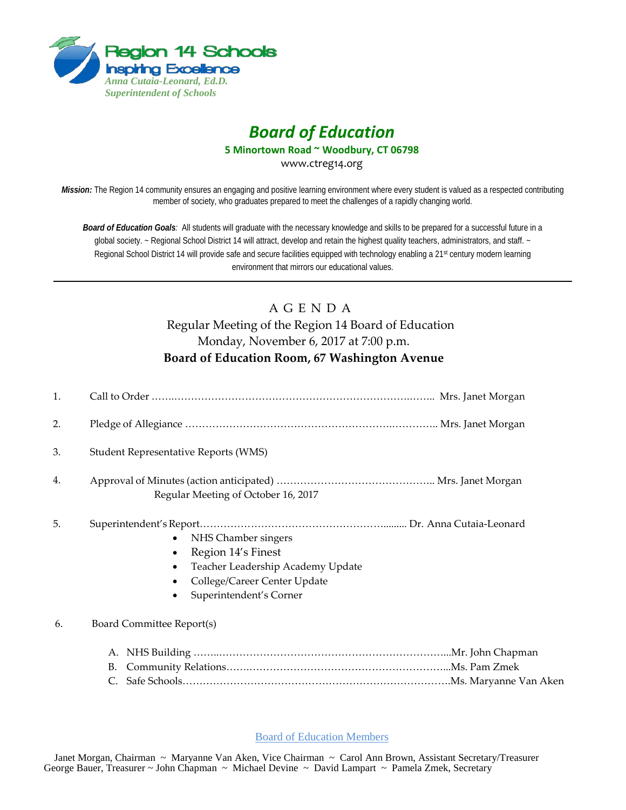

## *Board of Education*

**5 Minortown Road ~ Woodbury, CT 06798**

www.ctreg14.org

*Mission:* The Region 14 community ensures an engaging and positive learning environment where every student is valued as a respected contributing member of society, who graduates prepared to meet the challenges of a rapidly changing world.

*Board of Education Goals:* All students will graduate with the necessary knowledge and skills to be prepared for a successful future in a global society. ~ Regional School District 14 will attract, develop and retain the highest quality teachers, administrators, and staff. ~ Regional School District 14 will provide safe and secure facilities equipped with technology enabling a 21<sup>st</sup> century modern learning environment that mirrors our educational values.

## A G E N D A Regular Meeting of the Region 14 Board of Education Monday, November 6, 2017 at 7:00 p.m. **Board of Education Room, 67 Washington Avenue**

| 1. |                                                                                                                                                |  |
|----|------------------------------------------------------------------------------------------------------------------------------------------------|--|
| 2. |                                                                                                                                                |  |
| 3. | Student Representative Reports (WMS)                                                                                                           |  |
| 4. | Regular Meeting of October 16, 2017                                                                                                            |  |
| 5. | NHS Chamber singers<br>Region 14's Finest<br>Teacher Leadership Academy Update<br>College/Career Center Update<br>٠<br>Superintendent's Corner |  |
| 6. | Board Committee Report(s)                                                                                                                      |  |
|    | А.                                                                                                                                             |  |
|    | В.                                                                                                                                             |  |
|    |                                                                                                                                                |  |

Board of Education Members